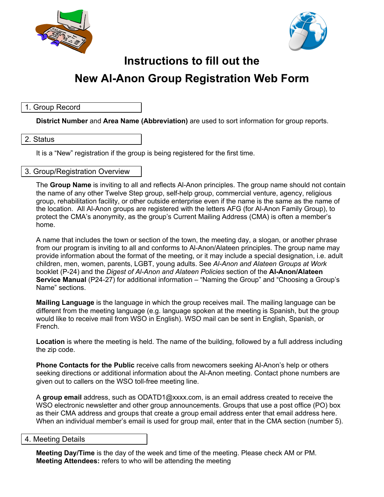



# **Instructions to fill out the New Al-Anon Group Registration Web Form**

## 1. Group Record

**District Number** and **Area Name (Abbreviation)** are used to sort information for group reports.

## 2. Status

It is a "New" registration if the group is being registered for the first time.

### 3. Group/Registration Overview

The **Group Name** is inviting to all and reflects Al-Anon principles. The group name should not contain the name of any other Twelve Step group, self-help group, commercial venture, agency, religious group, rehabilitation facility, or other outside enterprise even if the name is the same as the name of the location. All Al-Anon groups are registered with the letters AFG (for Al-Anon Family Group), to protect the CMA's anonymity, as the group's Current Mailing Address (CMA) is often a member's home.

A name that includes the town or section of the town, the meeting day, a slogan, or another phrase from our program is inviting to all and conforms to Al-Anon/Alateen principles. The group name may provide information about the format of the meeting, or it may include a special designation, i.e. adult children, men, women, parents, LGBT, young adults. See *Al-Anon and Alateen Groups at Work*  booklet (P-24) and the *Digest of Al-Anon and Alateen Policies* section of the **Al-Anon/Alateen Service Manual** (P24-27) for additional information – "Naming the Group" and "Choosing a Group's Name" sections.

**Mailing Language** is the language in which the group receives mail. The mailing language can be different from the meeting language (e.g. language spoken at the meeting is Spanish, but the group would like to receive mail from WSO in English). WSO mail can be sent in English, Spanish, or French.

**Location** is where the meeting is held. The name of the building, followed by a full address including the zip code.

**Phone Contacts for the Public** receive calls from newcomers seeking Al-Anon's help or others seeking directions or additional information about the Al-Anon meeting. Contact phone numbers are given out to callers on the WSO toll-free meeting line.

A **group email** address, such as ODATD1@xxxx.com, is an email address created to receive the WSO electronic newsletter and other group announcements. Groups that use a post office (PO) box as their CMA address and groups that create a group email address enter that email address here. When an individual member's email is used for group mail, enter that in the CMA section (number 5).

#### 4. Meeting Details

**Meeting Day/Time** is the day of the week and time of the meeting. Please check AM or PM. **Meeting Attendees:** refers to who will be attending the meeting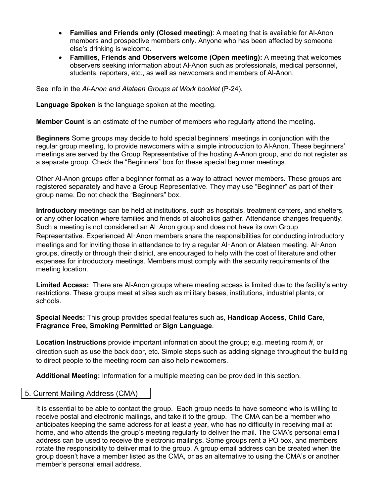- **Families and Friends only (Closed meeting)**: A meeting that is available for Al-Anon members and prospective members only. Anyone who has been affected by someone else's drinking is welcome.
- **Families, Friends and Observers welcome (Open meeting):** A meeting that welcomes observers seeking information about Al-Anon such as professionals, medical personnel, students, reporters, etc., as well as newcomers and members of Al-Anon.

See info in the *Al-Anon and Alateen Groups at Work booklet* (P-24).

**Language Spoken** is the language spoken at the meeting.

**Member Count** is an estimate of the number of members who regularly attend the meeting.

**Beginners** Some groups may decide to hold special beginners' meetings in conjunction with the regular group meeting, to provide newcomers with a simple introduction to Al-Anon. These beginners' meetings are served by the Group Representative of the hosting A-Anon group, and do not register as a separate group. Check the "Beginners" box for these special beginner meetings.

Other Al-Anon groups offer a beginner format as a way to attract newer members. These groups are registered separately and have a Group Representative. They may use "Beginner" as part of their group name. Do not check the "Beginners" box.

**Introductory** meetings can be held at institutions, such as hospitals, treatment centers, and shelters, or any other location where families and friends of alcoholics gather. Attendance changes frequently. Such a meeting is not considered an Al‑Anon group and does not have its own Group Representative. Experienced Al-Anon members share the responsibilities for conducting introductory meetings and for inviting those in attendance to try a regular Al‑Anon or Alateen meeting. Al‑Anon groups, directly or through their district, are encouraged to help with the cost of literature and other expenses for introductory meetings. Members must comply with the security requirements of the meeting location.

**Limited Access:** There are Al-Anon groups where meeting access is limited due to the facility's entry restrictions. These groups meet at sites such as military bases, institutions, industrial plants, or schools.

**Special Needs:** This group provides special features such as, **Handicap Access**, **Child Care**, **Fragrance Free, Smoking Permitted** or **Sign Language**.

**Location Instructions** provide important information about the group; e.g. meeting room #, or direction such as use the back door, etc. Simple steps such as adding signage throughout the building to direct people to the meeting room can also help newcomers.

**Additional Meeting:** Information for a multiple meeting can be provided in this section.

## 5. Current Mailing Address (CMA)

It is essential to be able to contact the group. Each group needs to have someone who is willing to receive postal and electronic mailings, and take it to the group. The CMA can be a member who anticipates keeping the same address for at least a year, who has no difficulty in receiving mail at home, and who attends the group's meeting regularly to deliver the mail. The CMA's personal email address can be used to receive the electronic mailings. Some groups rent a PO box, and members rotate the responsibility to deliver mail to the group. A group email address can be created when the group doesn't have a member listed as the CMA, or as an alternative to using the CMA's or another member's personal email address.